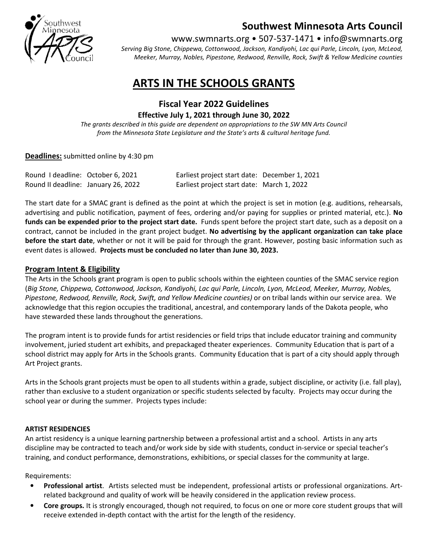

## Southwest Minnesota Arts Council

www.swmnarts.org • 507-537-1471 • info@swmnarts.org

Serving Big Stone, Chippewa, Cottonwood, Jackson, Kandiyohi, Lac qui Parle, Lincoln, Lyon, McLeod, Meeker, Murray, Nobles, Pipestone, Redwood, Renville, Rock, Swift & Yellow Medicine counties

# ARTS IN THE SCHOOLS GRANTS

## Fiscal Year 2022 Guidelines Effective July 1, 2021 through June 30, 2022

The grants described in this guide are dependent on appropriations to the SW MN Arts Council from the Minnesota State Legislature and the State's arts & cultural heritage fund.

#### Deadlines: submitted online by 4:30 pm

| Round I deadline: October 6, 2021   | Earliest project start date: December 1, 2021 |  |
|-------------------------------------|-----------------------------------------------|--|
| Round II deadline: January 26, 2022 | Earliest project start date: March 1, 2022    |  |

The start date for a SMAC grant is defined as the point at which the project is set in motion (e.g. auditions, rehearsals, advertising and public notification, payment of fees, ordering and/or paying for supplies or printed material, etc.). No funds can be expended prior to the project start date. Funds spent before the project start date, such as a deposit on a contract, cannot be included in the grant project budget. No advertising by the applicant organization can take place before the start date, whether or not it will be paid for through the grant. However, posting basic information such as event dates is allowed. Projects must be concluded no later than June 30, 2023.

#### Program Intent & Eligibility

The Arts in the Schools grant program is open to public schools within the eighteen counties of the SMAC service region (Big Stone, Chippewa, Cottonwood, Jackson, Kandiyohi, Lac qui Parle, Lincoln, Lyon, McLeod, Meeker, Murray, Nobles, Pipestone, Redwood, Renville, Rock, Swift, and Yellow Medicine counties) or on tribal lands within our service area. We acknowledge that this region occupies the traditional, ancestral, and contemporary lands of the Dakota people, who have stewarded these lands throughout the generations.

The program intent is to provide funds for artist residencies or field trips that include educator training and community involvement, juried student art exhibits, and prepackaged theater experiences. Community Education that is part of a school district may apply for Arts in the Schools grants. Community Education that is part of a city should apply through Art Project grants.

Arts in the Schools grant projects must be open to all students within a grade, subject discipline, or activity (i.e. fall play), rather than exclusive to a student organization or specific students selected by faculty. Projects may occur during the school year or during the summer. Projects types include:

#### ARTIST RESIDENCIES

An artist residency is a unique learning partnership between a professional artist and a school. Artists in any arts discipline may be contracted to teach and/or work side by side with students, conduct in-service or special teacher's training, and conduct performance, demonstrations, exhibitions, or special classes for the community at large.

Requirements:

- Professional artist. Artists selected must be independent, professional artists or professional organizations. Artrelated background and quality of work will be heavily considered in the application review process.
- Core groups. It is strongly encouraged, though not required, to focus on one or more core student groups that will receive extended in-depth contact with the artist for the length of the residency.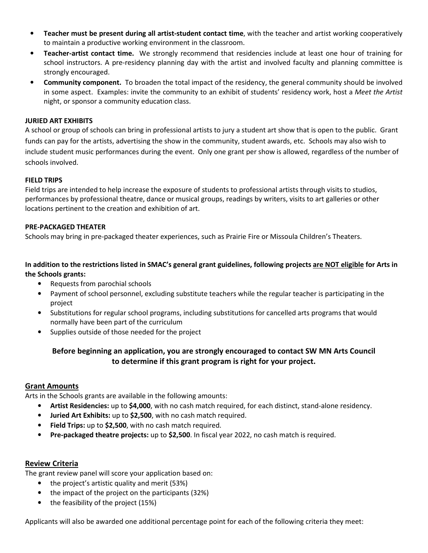- Teacher must be present during all artist-student contact time, with the teacher and artist working cooperatively to maintain a productive working environment in the classroom.
- Teacher-artist contact time. We strongly recommend that residencies include at least one hour of training for school instructors. A pre-residency planning day with the artist and involved faculty and planning committee is strongly encouraged.
- Community component. To broaden the total impact of the residency, the general community should be involved in some aspect. Examples: invite the community to an exhibit of students' residency work, host a Meet the Artist night, or sponsor a community education class.

#### JURIED ART EXHIBITS

A school or group of schools can bring in professional artists to jury a student art show that is open to the public. Grant funds can pay for the artists, advertising the show in the community, student awards, etc. Schools may also wish to include student music performances during the event. Only one grant per show is allowed, regardless of the number of schools involved.

#### FIELD TRIPS

Field trips are intended to help increase the exposure of students to professional artists through visits to studios, performances by professional theatre, dance or musical groups, readings by writers, visits to art galleries or other locations pertinent to the creation and exhibition of art.

#### PRE-PACKAGED THEATER

Schools may bring in pre-packaged theater experiences, such as Prairie Fire or Missoula Children's Theaters.

#### In addition to the restrictions listed in SMAC's general grant guidelines, following projects are NOT eligible for Arts in the Schools grants:

- Requests from parochial schools
- Payment of school personnel, excluding substitute teachers while the regular teacher is participating in the project
- Substitutions for regular school programs, including substitutions for cancelled arts programs that would normally have been part of the curriculum
- Supplies outside of those needed for the project

### Before beginning an application, you are strongly encouraged to contact SW MN Arts Council to determine if this grant program is right for your project.

#### Grant Amounts

Arts in the Schools grants are available in the following amounts:

- Artist Residencies: up to \$4,000, with no cash match required, for each distinct, stand-alone residency.
- Juried Art Exhibits: up to \$2,500, with no cash match required.
- Field Trips: up to \$2,500, with no cash match required.
- Pre-packaged theatre projects: up to \$2,500. In fiscal year 2022, no cash match is required.

#### Review Criteria

The grant review panel will score your application based on:

- the project's artistic quality and merit (53%)
- the impact of the project on the participants (32%)
- the feasibility of the project (15%)

Applicants will also be awarded one additional percentage point for each of the following criteria they meet: